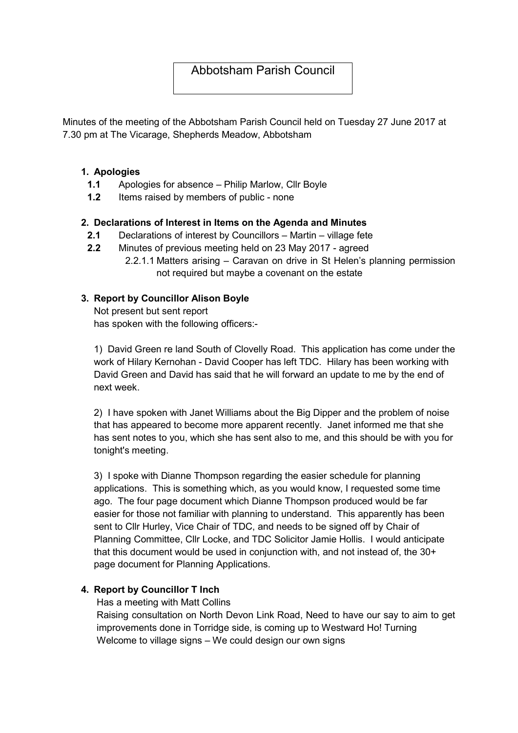# Abbotsham Parish Council

Minutes of the meeting of the Abbotsham Parish Council held on Tuesday 27 June 2017 at 7.30 pm at The Vicarage, Shepherds Meadow, Abbotsham

#### 1. Apologies

- 1.1 Apologies for absence Philip Marlow, Cllr Boyle
- 1.2 Items raised by members of public none

### 2. Declarations of Interest in Items on the Agenda and Minutes

- 2.1 Declarations of interest by Councillors Martin village fete
- 2.2 Minutes of previous meeting held on 23 May 2017 agreed
	- 2.2.1.1 Matters arising Caravan on drive in St Helen's planning permission not required but maybe a covenant on the estate

### 3. Report by Councillor Alison Boyle

Not present but sent report has spoken with the following officers:-

1) David Green re land South of Clovelly Road. This application has come under the work of Hilary Kernohan - David Cooper has left TDC. Hilary has been working with David Green and David has said that he will forward an update to me by the end of next week.

2) I have spoken with Janet Williams about the Big Dipper and the problem of noise that has appeared to become more apparent recently. Janet informed me that she has sent notes to you, which she has sent also to me, and this should be with you for tonight's meeting.

3) I spoke with Dianne Thompson regarding the easier schedule for planning applications. This is something which, as you would know, I requested some time ago. The four page document which Dianne Thompson produced would be far easier for those not familiar with planning to understand. This apparently has been sent to Cllr Hurley, Vice Chair of TDC, and needs to be signed off by Chair of Planning Committee, Cllr Locke, and TDC Solicitor Jamie Hollis. I would anticipate that this document would be used in conjunction with, and not instead of, the 30+ page document for Planning Applications.

## 4. Report by Councillor T Inch

Has a meeting with Matt Collins

Raising consultation on North Devon Link Road, Need to have our say to aim to get improvements done in Torridge side, is coming up to Westward Ho! Turning Welcome to village signs – We could design our own signs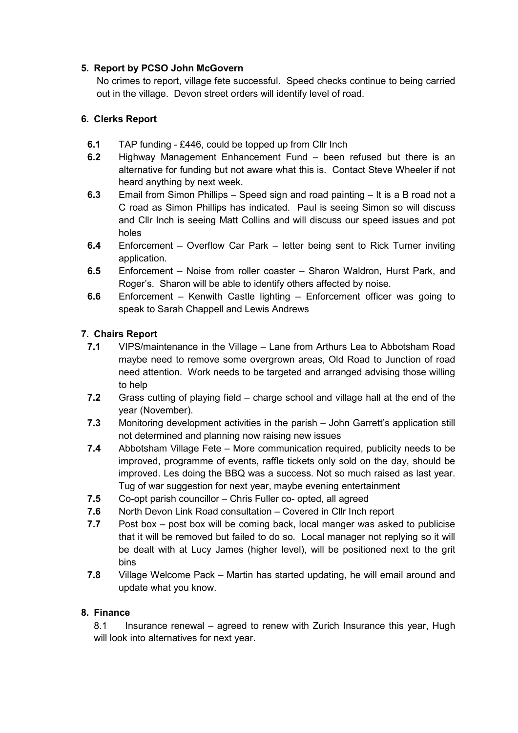## 5. Report by PCSO John McGovern

No crimes to report, village fete successful. Speed checks continue to being carried out in the village. Devon street orders will identify level of road.

# 6. Clerks Report

- 6.1 TAP funding £446, could be topped up from Cllr Inch
- 6.2 Highway Management Enhancement Fund been refused but there is an alternative for funding but not aware what this is. Contact Steve Wheeler if not heard anything by next week.
- 6.3 Email from Simon Phillips Speed sign and road painting It is a B road not a C road as Simon Phillips has indicated. Paul is seeing Simon so will discuss and Cllr Inch is seeing Matt Collins and will discuss our speed issues and pot holes
- 6.4 Enforcement Overflow Car Park letter being sent to Rick Turner inviting application.
- 6.5 Enforcement Noise from roller coaster Sharon Waldron, Hurst Park, and Roger's. Sharon will be able to identify others affected by noise.
- 6.6 Enforcement Kenwith Castle lighting Enforcement officer was going to speak to Sarah Chappell and Lewis Andrews

# 7. Chairs Report

- 7.1 VIPS/maintenance in the Village Lane from Arthurs Lea to Abbotsham Road maybe need to remove some overgrown areas, Old Road to Junction of road need attention. Work needs to be targeted and arranged advising those willing to help
- 7.2 Grass cutting of playing field charge school and village hall at the end of the year (November).
- 7.3 Monitoring development activities in the parish John Garrett's application still not determined and planning now raising new issues
- 7.4 Abbotsham Village Fete More communication required, publicity needs to be improved, programme of events, raffle tickets only sold on the day, should be improved. Les doing the BBQ was a success. Not so much raised as last year. Tug of war suggestion for next year, maybe evening entertainment
- 7.5 Co-opt parish councillor Chris Fuller co- opted, all agreed
- 7.6 North Devon Link Road consultation Covered in Cllr Inch report
- 7.7 Post box post box will be coming back, local manger was asked to publicise that it will be removed but failed to do so. Local manager not replying so it will be dealt with at Lucy James (higher level), will be positioned next to the grit bins
- 7.8 Village Welcome Pack Martin has started updating, he will email around and update what you know.

## 8. Finance

8.1 Insurance renewal – agreed to renew with Zurich Insurance this year, Hugh will look into alternatives for next year.